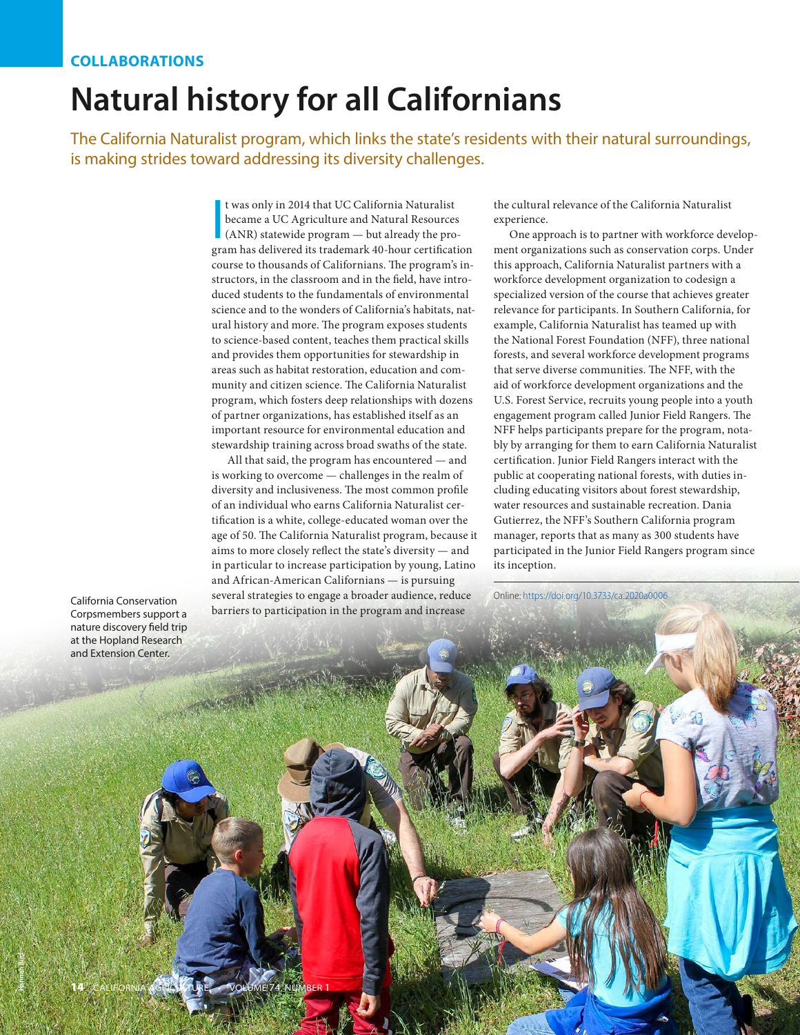## **COLLABORATIONS**

## **Natural history for all Californians**

The California Naturalist program, which links the state's residents with their natural surroundings, is making strides toward addressing its diversity challenges.

> t was only in 2014 that UC California Naturalist<br>became a UC Agriculture and Natural Resources<br>(ANR) statewide program — but already the pro-<br>gram has delivered its trademark 40-hour certification t was only in 2014 that UC California Naturalist became a UC Agriculture and Natural Resources (ANR) statewide program — but already the procourse to thousands of Californians. The program's instructors, in the classroom and in the field, have introduced students to the fundamentals of environmental science and to the wonders of California's habitats, natural history and more. The program exposes students to science-based content, teaches them practical skills and provides them opportunities for stewardship in areas such as habitat restoration, education and community and citizen science. The California Naturalist program, which fosters deep relationships with dozens of partner organizations, has established itself as an important resource for environmental education and stewardship training across broad swaths of the state.

> All that said, the program has encountered — and is working to overcome — challenges in the realm of diversity and inclusiveness. The most common profile of an individual who earns California Naturalist certification is a white, college-educated woman over the age of 50. The California Naturalist program, because it aims to more closely reflect the state's diversity — and in particular to increase participation by young, Latino and African-American Californians — is pursuing several strategies to engage a broader audience, reduce barriers to participation in the program and increase

the cultural relevance of the California Naturalist experience.

One approach is to partner with workforce development organizations such as conservation corps. Under this approach, California Naturalist partners with a workforce development organization to codesign a specialized version of the course that achieves greater relevance for participants. In Southern California, for example, California Naturalist has teamed up with the National Forest Foundation (NFF), three national forests, and several workforce development programs that serve diverse communities. The NFF, with the aid of workforce development organizations and the U.S. Forest Service, recruits young people into a youth engagement program called Junior Field Rangers. The NFF helps participants prepare for the program, notably by arranging for them to earn California Naturalist certification. Junior Field Rangers interact with the public at cooperating national forests, with duties including educating visitors about forest stewardship, water resources and sustainable recreation. Dania Gutierrez, the NFF's Southern California program manager, reports that as many as 300 students have participated in the Junior Field Rangers program since its inception.

California Conservation Corpsmembers support a nature discovery field trip at the Hopland Research and Extension Center.

Online: [https://doi.org/10.3733/ca.2020a000](https://doi.org/10.3733/ca.2020a0006)6

**Hannah Bird**